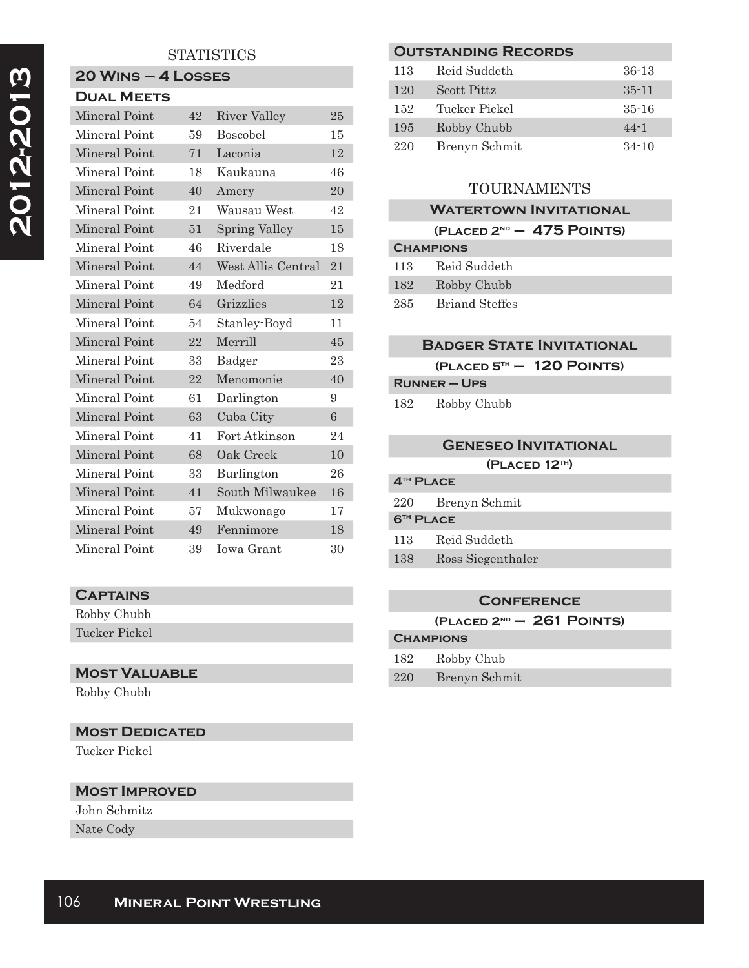# **STATISTICS**

## **20 Wins – 4 Losses Dual Meets**

| Mineral Point | 42 | River Valley         | 25 |
|---------------|----|----------------------|----|
| Mineral Point | 59 | <b>Boscobel</b>      | 15 |
| Mineral Point | 71 | Laconia              | 12 |
| Mineral Point | 18 | Kaukauna             | 46 |
| Mineral Point | 40 | Amery                | 20 |
| Mineral Point | 21 | Wausau West          | 42 |
| Mineral Point | 51 | <b>Spring Valley</b> | 15 |
| Mineral Point | 46 | Riverdale            | 18 |
| Mineral Point | 44 | West Allis Central   | 21 |
| Mineral Point | 49 | Medford              | 21 |
| Mineral Point | 64 | Grizzlies            | 12 |
| Mineral Point | 54 | Stanley-Boyd         | 11 |
| Mineral Point | 22 | Merrill              | 45 |
| Mineral Point | 33 | Badger               | 23 |
| Mineral Point | 22 | Menomonie            | 40 |
| Mineral Point | 61 | Darlington           | 9  |
| Mineral Point | 63 | Cuba City            | 6  |
| Mineral Point | 41 | Fort Atkinson        | 24 |
| Mineral Point | 68 | Oak Creek            | 10 |
| Mineral Point | 33 | Burlington           | 26 |
| Mineral Point | 41 | South Milwaukee      | 16 |
| Mineral Point | 57 | Mukwonago            | 17 |
| Mineral Point | 49 | Fennimore            | 18 |
| Mineral Point | 39 | Iowa Grant           | 30 |

#### **Captains**

Robby Chubb Tucker Pickel

## **Most Valuable**

Robby Chubb

# **MOST DEDICATED**

Tucker Pickel

#### **Most Improved**

John Schmitz Nate Cody

| <b>OUTSTANDING RECORDS</b> |               |           |  |  |
|----------------------------|---------------|-----------|--|--|
| 113                        | Reid Suddeth  | $36-13$   |  |  |
| 120                        | Scott Pittz   | $35 - 11$ |  |  |
| 152                        | Tucker Pickel | $35 - 16$ |  |  |
| 195                        | Robby Chubb   | $44 - 1$  |  |  |
| 220                        | Brenyn Schmit | $34 - 10$ |  |  |
|                            |               |           |  |  |

# TOURNAMENTS

#### **Watertown Invitational (Placed 2nd – 475 Points) Champions**

| <b>UIMMENJIN</b> |                       |  |
|------------------|-----------------------|--|
| 113              | Reid Suddeth          |  |
| 182              | Robby Chubb           |  |
| 285              | <b>Briand Steffes</b> |  |

## **Badger State Invitational**

**(Placed 5th – 120 Points)**

**Runner – Ups**

182 Robby Chubb

#### **Geneseo Invitational**

**(Placed 12th)**

# **4th Place**

220 Brenyn Schmit **6th Place**

113 Reid Suddeth

138 Ross Siegenthaler

## **Conference**

**(Placed 2nd – 261 Points)**

# **Champions**

| 182 | Robby Chub |  |
|-----|------------|--|
|     |            |  |

220 Brenyn Schmit